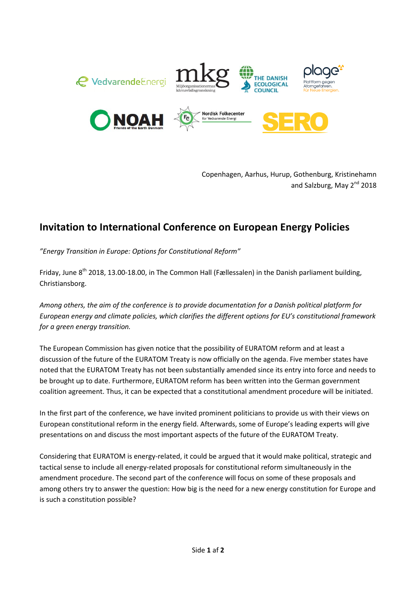







Copenhagen, Aarhus, Hurup, Gothenburg, Kristinehamn and Salzburg, May 2<sup>nd</sup> 2018

## Invitation to International Conference on European Energy Policies

"Energy Transition in Europe: Options for Constitutional Reform"

Fridav. June 8<sup>th</sup> 2018, 13.00-18.00, in The Common Hall (Fællessalen) in the Danish parliament building, Christiansborg.

Among others, the aim of the conference is to provide documentation for a Danish political platform for European energy and climate policies, which clarifies the different options for EU's constitutional framework for a green energy transition.

The European Commission has given notice that the possibility of EURATOM reform and at least a discussion of the future of the EURATOM Treaty is now officially on the agenda. Five member states have noted that the EURATOM Treaty has not been substantially amended since its entry into force and needs to be brought up to date. Furthermore, EURATOM reform has been written into the German government coalition agreement. Thus, it can be expected that a constitutional amendment procedure will be initiated.

In the first part of the conference, we have invited prominent politicians to provide us with their views on European constitutional reform in the energy field. Afterwards, some of Europe's leading experts will give presentations on and discuss the most important aspects of the future of the EURATOM Treaty.

Considering that EURATOM is energy-related, it could be argued that it would make political, strategic and tactical sense to include all energy-related proposals for constitutional reform simultaneously in the amendment procedure. The second part of the conference will focus on some of these proposals and among others try to answer the question: How big is the need for a new energy constitution for Europe and is such a constitution possible?